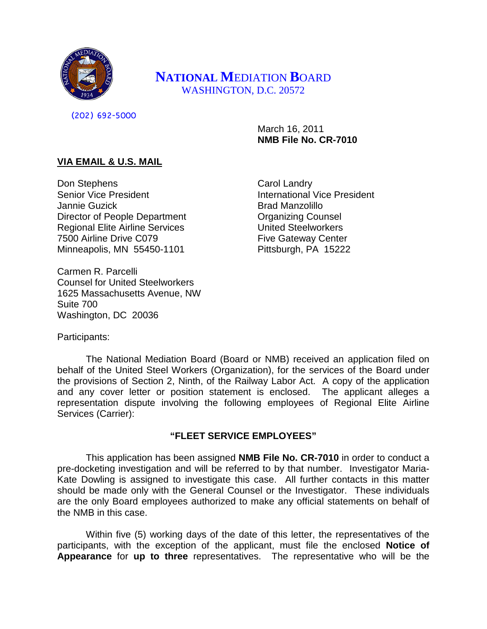

# **NATIONAL M**EDIATION **B**OARD WASHINGTON, D.C. 20572

(202) 692-5000

March 16, 2011 **NMB File No. CR-7010**

# **VIA EMAIL & U.S. MAIL**

Don Stephens Senior Vice President Jannie Guzick Director of People Department Regional Elite Airline Services 7500 Airline Drive C079 Minneapolis, MN 55450-1101

Carmen R. Parcelli Counsel for United Steelworkers 1625 Massachusetts Avenue, NW Suite 700 Washington, DC 20036

Carol Landry International Vice President Brad Manzolillo Organizing Counsel United Steelworkers Five Gateway Center Pittsburgh, PA 15222

Participants:

The National Mediation Board (Board or NMB) received an application filed on behalf of the United Steel Workers (Organization), for the services of the Board under the provisions of Section 2, Ninth, of the Railway Labor Act. A copy of the application and any cover letter or position statement is enclosed. The applicant alleges a representation dispute involving the following employees of Regional Elite Airline Services (Carrier):

# **"FLEET SERVICE EMPLOYEES"**

This application has been assigned **NMB File No. CR-7010** in order to conduct a pre-docketing investigation and will be referred to by that number. Investigator Maria-Kate Dowling is assigned to investigate this case. All further contacts in this matter should be made only with the General Counsel or the Investigator. These individuals are the only Board employees authorized to make any official statements on behalf of the NMB in this case.

Within five (5) working days of the date of this letter, the representatives of the participants, with the exception of the applicant, must file the enclosed **Notice of Appearance** for **up to three** representatives. The representative who will be the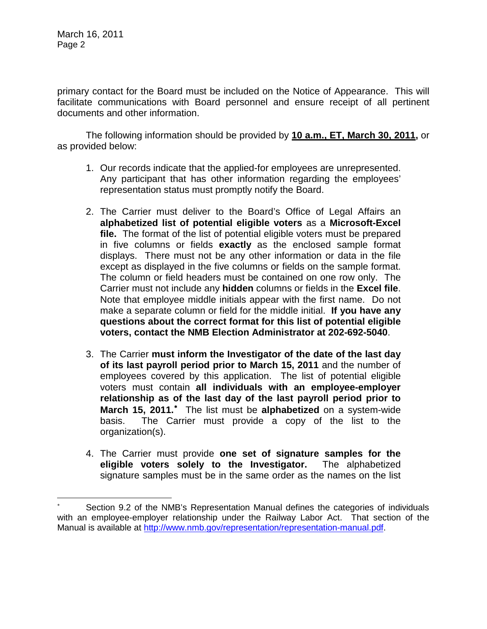March 16, 2011 Page 2

 $\overline{a}$ 

primary contact for the Board must be included on the Notice of Appearance. This will facilitate communications with Board personnel and ensure receipt of all pertinent documents and other information.

The following information should be provided by **10 a.m., ET, March 30, 2011,** or as provided below:

- 1. Our records indicate that the applied-for employees are unrepresented. Any participant that has other information regarding the employees' representation status must promptly notify the Board.
- 2. The Carrier must deliver to the Board's Office of Legal Affairs an **alphabetized list of potential eligible voters** as a **Microsoft-Excel file.** The format of the list of potential eligible voters must be prepared in five columns or fields **exactly** as the enclosed sample format displays. There must not be any other information or data in the file except as displayed in the five columns or fields on the sample format. The column or field headers must be contained on one row only. The Carrier must not include any **hidden** columns or fields in the **Excel file**. Note that employee middle initials appear with the first name. Do not make a separate column or field for the middle initial. **If you have any questions about the correct format for this list of potential eligible voters, contact the NMB Election Administrator at 202-692-5040**.
- 3. The Carrier **must inform the Investigator of the date of the last day of its last payroll period prior to March 15, 2011** and the number of employees covered by this application. The list of potential eligible voters must contain **all individuals with an employee-employer relationship as of the last day of the last payroll period prior to**  March 15, 2011.<sup>\*</sup> The list must be alphabetized on a system-wide basis. The Carrier must provide a copy of the list to the organization(s).
- 4. The Carrier must provide **one set of signature samples for the eligible voters solely to the Investigator.** The alphabetized signature samples must be in the same order as the names on the list

<span id="page-1-0"></span>Section 9.2 of the NMB's Representation Manual defines the categories of individuals with an employee-employer relationship under the Railway Labor Act. That section of the Manual is available at [http://www.nmb.gov/representation/representation-manual.pdf.](http://www.nmb.gov/representation/representation-manual.pdf)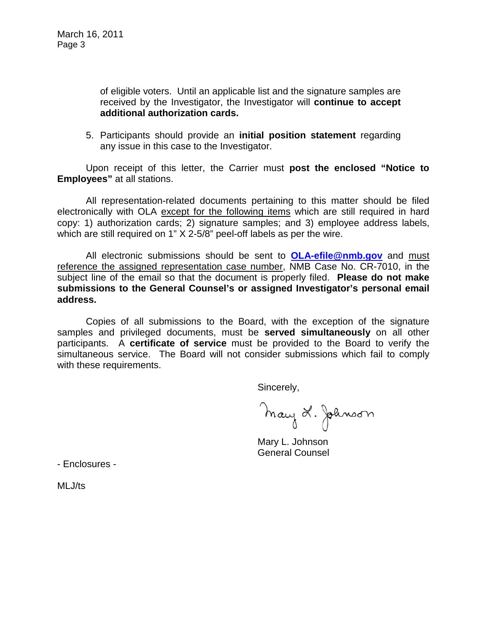of eligible voters. Until an applicable list and the signature samples are received by the Investigator, the Investigator will **continue to accept additional authorization cards.**

5. Participants should provide an **initial position statement** regarding any issue in this case to the Investigator.

Upon receipt of this letter, the Carrier must **post the enclosed "Notice to Employees"** at all stations.

All representation-related documents pertaining to this matter should be filed electronically with OLA except for the following items which are still required in hard copy: 1) authorization cards; 2) signature samples; and 3) employee address labels, which are still required on 1" X 2-5/8" peel-off labels as per the wire.

All electronic submissions should be sent to **[OLA-efile@nmb.gov](mailto:OLA-efile@nmb.gov)** and must reference the assigned representation case number, NMB Case No. CR-7010, in the subject line of the email so that the document is properly filed. **Please do not make submissions to the General Counsel's or assigned Investigator's personal email address.**

Copies of all submissions to the Board, with the exception of the signature samples and privileged documents, must be **served simultaneously** on all other participants. A **certificate of service** must be provided to the Board to verify the simultaneous service. The Board will not consider submissions which fail to comply with these requirements.

Sincerely,

May L. Johnson

Mary L. Johnson General Counsel

- Enclosures -

MLJ/ts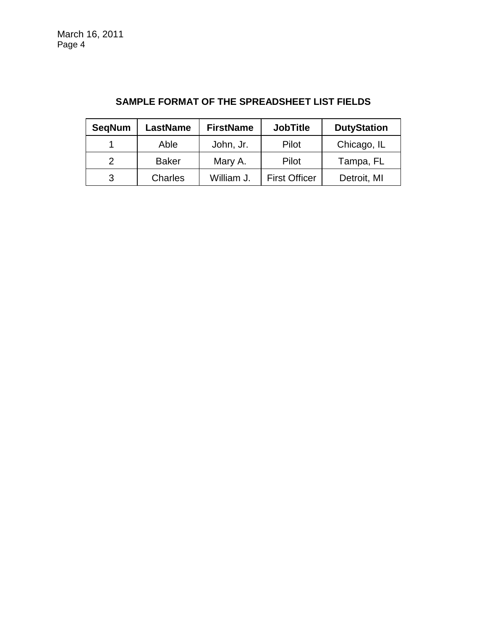| <b>SegNum</b> | LastName       | <b>FirstName</b> | <b>JobTitle</b>      | <b>DutyStation</b> |
|---------------|----------------|------------------|----------------------|--------------------|
|               | Able           | John, Jr.        | Pilot                | Chicago, IL        |
|               | <b>Baker</b>   | Mary A.          | Pilot                | Tampa, FL          |
|               | <b>Charles</b> | William J.       | <b>First Officer</b> | Detroit, MI        |

# **SAMPLE FORMAT OF THE SPREADSHEET LIST FIELDS**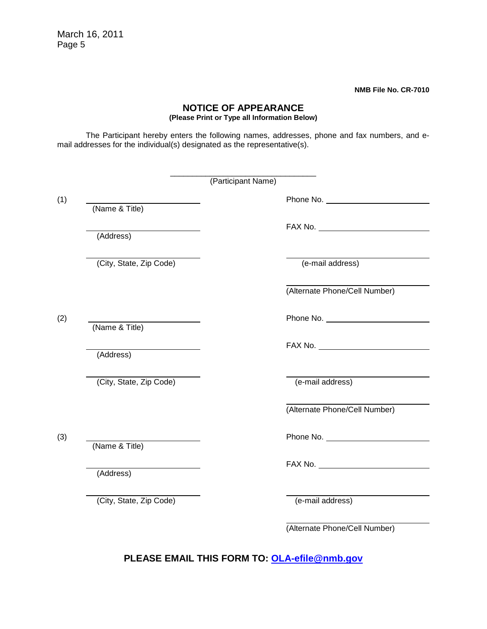March 16, 2011 Page 5

**NMB File No. CR-7010**

# **NOTICE OF APPEARANCE**

**(Please Print or Type all Information Below)**

The Participant hereby enters the following names, addresses, phone and fax numbers, and email addresses for the individual(s) designated as the representative(s).

|                         | (Participant Name) |                                        |
|-------------------------|--------------------|----------------------------------------|
| (Name & Title)          |                    | Phone No.                              |
| (Address)               |                    |                                        |
| (City, State, Zip Code) | (e-mail address)   |                                        |
|                         |                    | (Alternate Phone/Cell Number)          |
|                         |                    | Phone No.                              |
| (Name & Title)          |                    | $FAX$ No. $\_\_\_\_\_\_\_\_\_\_\_\_\_$ |
| (Address)               |                    |                                        |
| (City, State, Zip Code) | (e-mail address)   |                                        |
|                         |                    | (Alternate Phone/Cell Number)          |
| (Name & Title)          |                    | Phone No. 1999                         |
| (Address)               |                    |                                        |
| (City, State, Zip Code) | (e-mail address)   |                                        |
|                         |                    | (Alternate Phone/Cell Number)          |

**PLEASE EMAIL THIS FORM TO: [OLA-efile@nmb.gov](mailto:OLA-efile@nmb.gov)**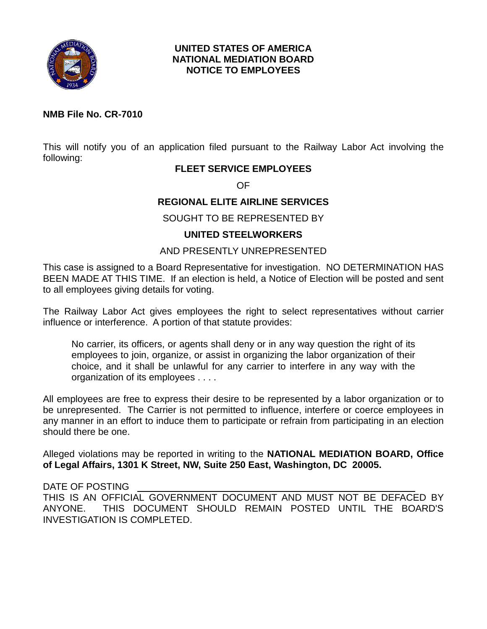

# **UNITED STATES OF AMERICA NATIONAL MEDIATION BOARD NOTICE TO EMPLOYEES**

### **NMB File No. CR-7010**

This will notify you of an application filed pursuant to the Railway Labor Act involving the following:

# **FLEET SERVICE EMPLOYEES**

OF

# **REGIONAL ELITE AIRLINE SERVICES**

# SOUGHT TO BE REPRESENTED BY

# **UNITED STEELWORKERS**

# AND PRESENTLY UNREPRESENTED

This case is assigned to a Board Representative for investigation. NO DETERMINATION HAS BEEN MADE AT THIS TIME. If an election is held, a Notice of Election will be posted and sent to all employees giving details for voting.

The Railway Labor Act gives employees the right to select representatives without carrier influence or interference. A portion of that statute provides:

No carrier, its officers, or agents shall deny or in any way question the right of its employees to join, organize, or assist in organizing the labor organization of their choice, and it shall be unlawful for any carrier to interfere in any way with the organization of its employees . . . .

All employees are free to express their desire to be represented by a labor organization or to be unrepresented. The Carrier is not permitted to influence, interfere or coerce employees in any manner in an effort to induce them to participate or refrain from participating in an election should there be one.

Alleged violations may be reported in writing to the **NATIONAL MEDIATION BOARD, Office of Legal Affairs, 1301 K Street, NW, Suite 250 East, Washington, DC 20005.**

# DATE OF POSTING

THIS IS AN OFFICIAL GOVERNMENT DOCUMENT AND MUST NOT BE DEFACED BY ANYONE. THIS DOCUMENT SHOULD REMAIN POSTED UNTIL THE BOARD'S INVESTIGATION IS COMPLETED.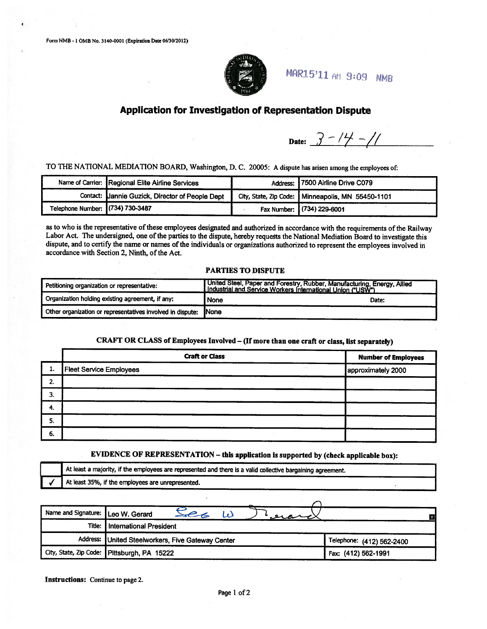

**MAR15'11 AM 9:09 NMB** 

### Application for Investigation of Representation Dispute

Date:  $3 - 14 - 11$ 

TO THE NATIONAL MEDIATION BOARD, Washington, D. C. 20005: A dispute has arisen among the employees of:

|                                  | Name of Carrier: Regional Elite Airline Services | Address: 7500 Airline Drive C079                  |
|----------------------------------|--------------------------------------------------|---------------------------------------------------|
|                                  | Contact: Uannie Guzick, Director of People Dept  | City, State, Zip Code: Minneapolis, MN 55450-1101 |
| Telephone Number: (734) 730-3487 |                                                  | Fax Number: (734) 229-6001                        |

as to who is the representative of these employees designated and authorized in accordance with the requirements of the Railway Labor Act. The undersigned, one of the parties to the dispute, hereby requests the National Mediation Board to investigate this dispute, and to certify the name or names of the individuals or organizations authorized to represent the employees involved in accordance with Section 2, Ninth, of the Act.

#### **PARTIES TO DISPUTE**

| Petitioning organization or representative:                | United Steel, Paper and Forestry, Rubber, Manufacturing, Energy, Allied<br>Industrial and Service Workers International Union ("USW") |       |
|------------------------------------------------------------|---------------------------------------------------------------------------------------------------------------------------------------|-------|
| Organization holding existing agreement, if any:           | None                                                                                                                                  | Date: |
| Other organization or representatives involved in dispute: | <b>INone</b>                                                                                                                          |       |

#### CRAFT OR CLASS of Employees Involved - (If more than one craft or class, list separately)

|    | <b>Craft or Class</b>              | <b>Number of Employees</b> |
|----|------------------------------------|----------------------------|
| ı. | Fleet Service Employees<br>n about | approximately 2000         |
| 2. |                                    |                            |
| 3. |                                    |                            |
| 4. |                                    |                            |
| 5. |                                    |                            |
| 6. |                                    |                            |

### EVIDENCE OF REPRESENTATION - this application is supported by (check applicable box):

| At least a majority, if the employees are represented and there is a valid collective bargaining agreement. |  |
|-------------------------------------------------------------------------------------------------------------|--|
| At least 35%, if the employees are unrepresented.                                                           |  |

| Name and Signature: Leo W. Gerard |                                                   |                           |
|-----------------------------------|---------------------------------------------------|---------------------------|
|                                   | Title: I International President                  |                           |
|                                   | Address: United Steelworkers, Five Gateway Center | Telephone: (412) 562-2400 |
|                                   | City, State, Zip Code: Pittsburgh, PA 15222       | Fax: (412) 562-1991       |

Instructions: Continue to page 2.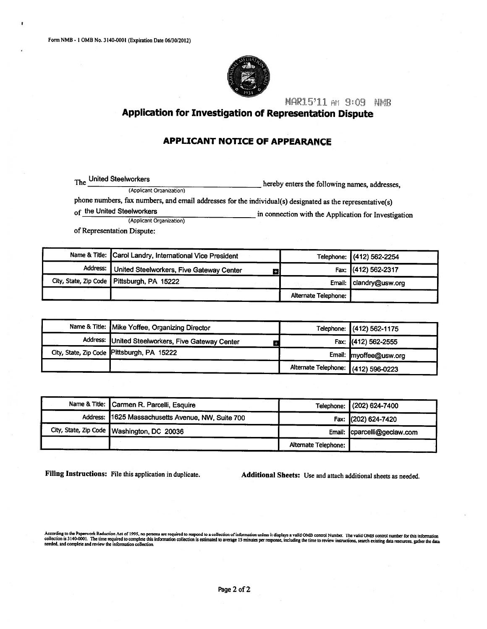

MAR15'11 AM 9:09 NMB

Application for Investigation of Representation Dispute

#### **APPLICANT NOTICE OF APPEARANCE**

The  $\_$ United Steelworkers hereby enters the following names, addresses, (Applicant Organization) phone numbers, fax numbers, and email addresses for the individual(s) designated as the representative(s) of the United Steelworkers in connection with the Application for Investigation (Applicant Organization)

of Representation Dispute:

|          | Name & Title: Carol Landry, International Vice President |                      | Telephone: (412) 562-2254 |
|----------|----------------------------------------------------------|----------------------|---------------------------|
| Address: | United Steelworkers, Five Gateway Center<br>о            |                      | Fax: (412) 562-2317       |
|          | City, State, Zip Code Pittsburgh, PA 15222               |                      | Email: clandry@usw.org    |
|          |                                                          | Alternate Telephone: |                           |

| Name & Title: Mike Yoffee, Organizing Director    |                                     | Telephone: (412) 562-1175 |
|---------------------------------------------------|-------------------------------------|---------------------------|
| Address: United Steelworkers, Five Gateway Center |                                     | Fax: (412) 562-2555       |
| City, State, Zip Code Pittsburgh, PA 15222        |                                     | Email: myoffee@usw.org    |
|                                                   | Alternate Telephone: (412) 596-0223 |                           |

| Name & Title: Carmen R. Parcelli, Esquire         |                      | Telephone: (202) 624-7400   |
|---------------------------------------------------|----------------------|-----------------------------|
| Address: 1625 Massachusetts Avenue, NW, Suite 700 |                      | Fax: (202) 624-7420         |
| City, State, Zip Code   Washington, DC 20036      |                      | Email: cparcelli@geclaw.com |
|                                                   | Alternate Telephone: |                             |

Filing Instructions: File this application in duplicate.

Additional Sheets: Use and attach additional sheets as needed.

According to the Paperwork Reduction Act of 1995, no persons are required to respond to a collection of information unless it displays a valid OMB control Number. The valid OMB control number for this information collectio